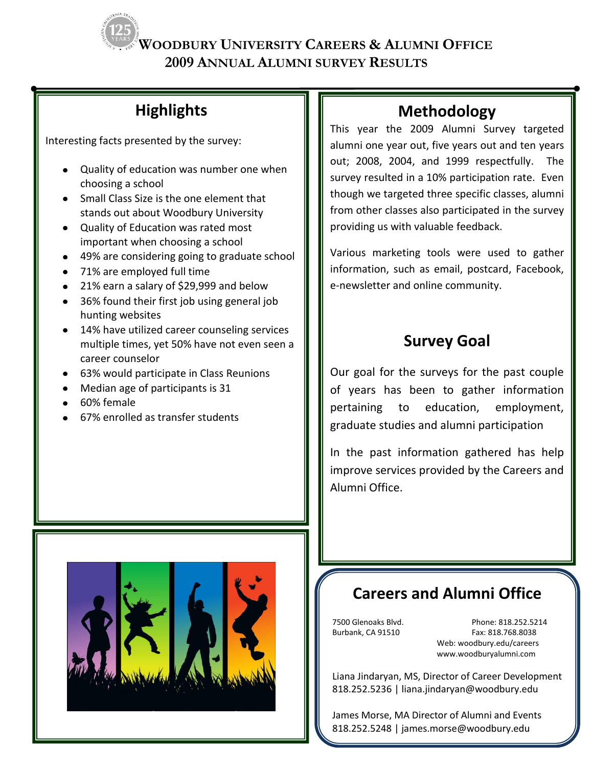**2009 ANNUAL ALUMNI SURVEY RESULTS**

# **Highlights**

Interesting facts presented by the survey:

- Quality of education was number one when choosing a school
- Small Class Size is the one element that stands out about Woodbury University
- Quality of Education was rated most important when choosing a school
- 49% are considering going to graduate school
- 71% are employed full time
- 21% earn a salary of \$29,999 and below
- 36% found their first job using general job hunting websites
- 14% have utilized career counseling services multiple times, yet 50% have not even seen a career counselor
- 63% would participate in Class Reunions
- Median age of participants is 31
- 60% female
- 67% enrolled as transfer students

# **Methodology**

This year the 2009 Alumni Survey targeted alumni one year out, five years out and ten years out; 2008, 2004, and 1999 respectfully. The survey resulted in a 10% participation rate. Even though we targeted three specific classes, alumni from other classes also participated in the survey providing us with valuable feedback.

Various marketing tools were used to gather information, such as email, postcard, Facebook, e-newsletter and online community.

# **Survey Goal**

Our goal for the surveys for the past couple of years has been to gather information pertaining to education, employment, graduate studies and alumni participation

In the past information gathered has help improve services provided by the Careers and Alumni Office.



# **Careers and Alumni Office**

7500 Glenoaks Blvd. Phone: 818.252.5214 Burbank, CA 91510 Fax: 818.768.8038 Web: woodbury.edu/careers www.woodburyalumni.com

Liana Jindaryan, MS, Director of Career Development 818.252.5236 | liana.jindaryan@woodbury.edu

James Morse, MA Director of Alumni and Events 818.252.5248 | james.morse@woodbury.edu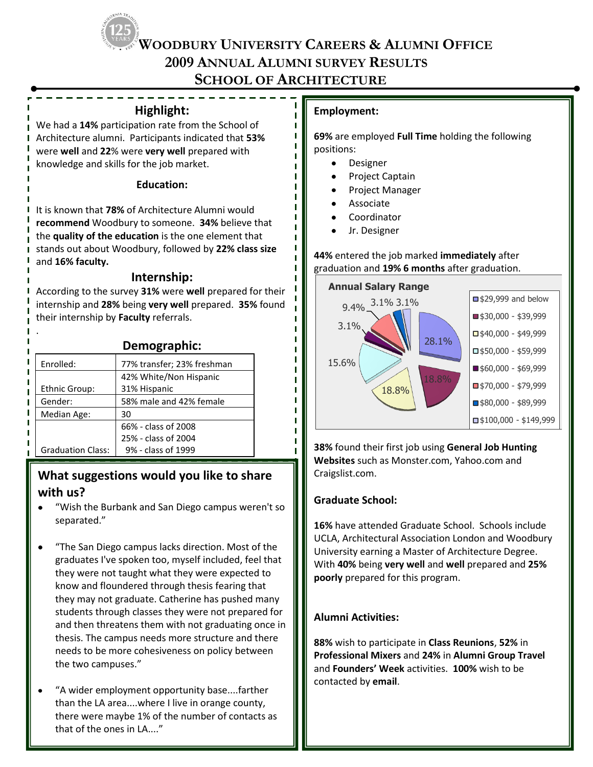**2009 ANNUAL ALUMNI SURVEY RESULTS**

## **SCHOOL OF ARCHITECTURE**

п Ī

п

### **Highlight:**

We had a **14%** participation rate from the School of Architecture alumni. Participants indicated that **53%** were **well** and **22**% were **very well** prepared with knowledge and skills for the job market.

#### **Education:**

It is known that **78%** of Architecture Alumni would **recommend** Woodbury to someone. **34%** believe that the **quality of the education** is the one element that stands out about Woodbury, followed by **22% class size** and **16% faculty.**

### **Internship:**

According to the survey **31%** were **well** prepared for their internship and **28%** being **very well** prepared. **35%** found their internship by **Faculty** referrals.

|                          | Demographic:               |
|--------------------------|----------------------------|
| Enrolled:                | 77% transfer; 23% freshman |
|                          | 42% White/Non Hispanic     |
| <b>Ethnic Group:</b>     | 31% Hispanic               |
| Gender:                  | 58% male and 42% female    |
| Median Age:              | 30                         |
|                          | 66% - class of 2008        |
|                          | 25% - class of 2004        |
| <b>Graduation Class:</b> | 9% - class of 1999         |

## **What suggestions would you like to share with us?**

- "Wish the Burbank and San Diego campus weren't so separated."
- "The San Diego campus lacks direction. Most of the graduates I've spoken too, myself included, feel that they were not taught what they were expected to know and floundered through thesis fearing that they may not graduate. Catherine has pushed many students through classes they were not prepared for and then threatens them with not graduating once in thesis. The campus needs more structure and there needs to be more cohesiveness on policy between the two campuses."
- "A wider employment opportunity base....farther than the LA area....where I live in orange county, there were maybe 1% of the number of contacts as that of the ones in LA...."

### **Employment:**

**69%** are employed **Full Time** holding the following positions:

- Designer
- Project Captain
- Project Manager
- Associate
- Coordinator
- Jr. Designer

#### **44%** entered the job marked **immediately** after graduation and **19% 6 months** after graduation.



**38%** found their first job using **General Job Hunting Websites** such as Monster.com, Yahoo.com and Craigslist.com.

### **Graduate School:**

**16%** have attended Graduate School. Schools include UCLA, Architectural Association London and Woodbury University earning a Master of Architecture Degree. With **40%** being **very well** and **well** prepared and **25% poorly** prepared for this program.

### **Alumni Activities:**

**88%** wish to participate in **Class Reunions**, **52%** in **Professional Mixers** and **24%** in **Alumni Group Travel** and **Founders' Week** activities. **100%** wish to be contacted by **email**.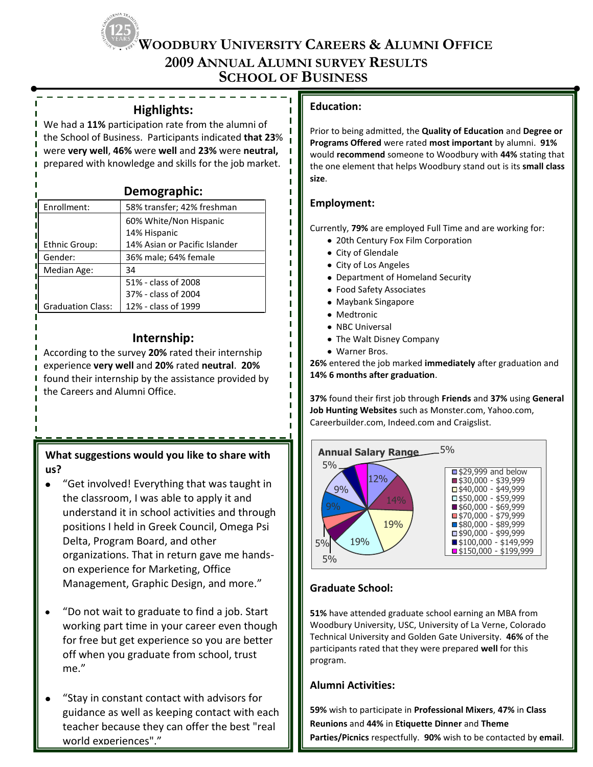**2009 ANNUAL ALUMNI SURVEY RESULTS**

**SCHOOL OF BUSINESS**

п п п  $\blacksquare$  $\blacksquare$  $\blacksquare$ п т т T. п п п

#### **Highlights:**

We had a **11%** participation rate from the alumni of the School of Business. Participants indicated **that 23**% were **very well**, **46%** were **well** and **23%** were **neutral,**  prepared with knowledge and skills for the job market.

| Demographic: |  |
|--------------|--|
|--------------|--|

| Enrollment:              | 58% transfer; 42% freshman    |  |
|--------------------------|-------------------------------|--|
|                          | 60% White/Non Hispanic        |  |
|                          | 14% Hispanic                  |  |
| Ethnic Group:            | 14% Asian or Pacific Islander |  |
| Gender:                  | 36% male; 64% female          |  |
| Median Age:              | 34                            |  |
|                          | 51% - class of 2008           |  |
|                          | 37% - class of 2004           |  |
| <b>Graduation Class:</b> | 12% - class of 1999           |  |

### **Internship:**

According to the survey **20%** rated their internship experience **very well** and **20%** rated **neutral**. **20%** found their internship by the assistance provided by the Careers and Alumni Office.

**What suggestions would you like to share with us?**

- "Get involved! Everything that was taught in the classroom, I was able to apply it and understand it in school activities and through positions I held in Greek Council, Omega Psi Delta, Program Board, and other organizations. That in return gave me handson experience for Marketing, Office Management, Graphic Design, and more."
- "Do not wait to graduate to find a job. Start working part time in your career even though for free but get experience so you are better off when you graduate from school, trust me."
- "Stay in constant contact with advisors for guidance as well as keeping contact with each teacher because they can offer the best "real world experiences"."

### **Education:**

Prior to being admitted, the **Quality of Education** and **Degree or Programs Offered** were rated **most important** by alumni. **91%** would **recommend** someone to Woodbury with **44%** stating that the one element that helps Woodbury stand out is its **small class size**.

### **Employment:**

Currently, **79%** are employed Full Time and are working for:

- 20th Century Fox Film Corporation
- City of Glendale
- City of Los Angeles
- Department of Homeland Security
- Food Safety Associates
- Maybank Singapore
- Medtronic
- NBC Universal
- The Walt Disney Company
- Warner Bros.

**26%** entered the job marked **immediately** after graduation and **14% 6 months after graduation**.

**37%** found their first job through **Friends** and **37%** using **General Job Hunting Websites** such as Monster.com, Yahoo.com, Careerbuilder.com, Indeed.com and Craigslist.



### **Graduate School:**

**51%** have attended graduate school earning an MBA from Woodbury University, USC, University of La Verne, Colorado Technical University and Golden Gate University. **46%** of the participants rated that they were prepared **well** for this program.

### **Alumni Activities:**

**59%** wish to participate in **Professional Mixers**, **47%** in **Class Reunions** and **44%** in **Etiquette Dinner** and **Theme Parties/Picnics** respectfully. **90%** wish to be contacted by **email**.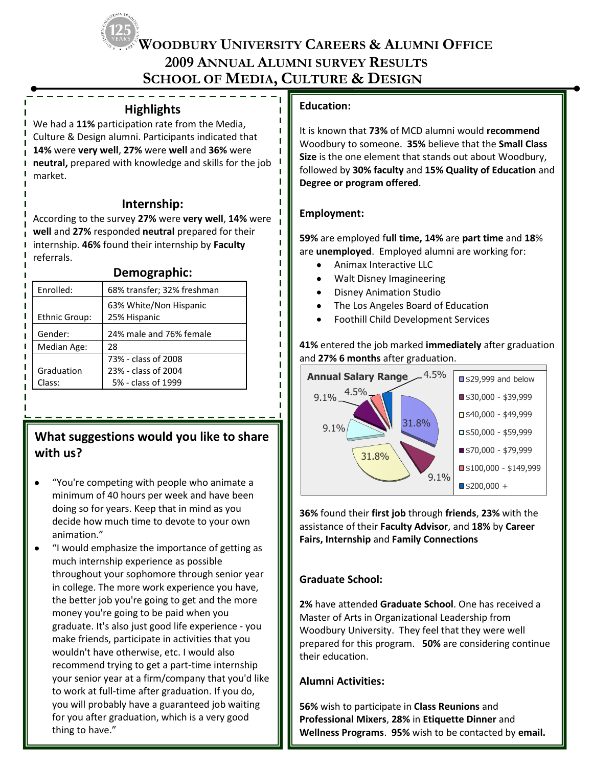$\blacksquare$  $\mathbf{I}$ п п

п

# **2009 ANNUAL ALUMNI SURVEY RESULTS SCHOOL OF MEDIA, CULTURE & DESIGN**

|  | <b>Highlights</b> |
|--|-------------------|
|  |                   |

We had a **11%** participation rate from the Media, Culture & Design alumni. Participants indicated that **14%** were **very well**, **27%** were **well** and **36%** were **neutral,** prepared with knowledge and skills for the job market.

### **Internship:**

According to the survey **27%** were **very well**, **14%** were **well** and **27%** responded **neutral** prepared for their internship. **46%** found their internship by **Faculty** referrals.

| Enrolled:     | 68% transfer; 32% freshman             |  |
|---------------|----------------------------------------|--|
| Ethnic Group: | 63% White/Non Hispanic<br>25% Hispanic |  |
| Gender:       | 24% male and 76% female                |  |
| Median Age:   | 28                                     |  |
|               | 73% - class of 2008                    |  |
| Graduation    | 23% - class of 2004                    |  |
| Class:        | 5% - class of 1999                     |  |
|               |                                        |  |

## **What suggestions would you like to share with us?**

- "You're competing with people who animate a minimum of 40 hours per week and have been doing so for years. Keep that in mind as you decide how much time to devote to your own animation."
- "I would emphasize the importance of getting as much internship experience as possible throughout your sophomore through senior year in college. The more work experience you have, the better job you're going to get and the more money you're going to be paid when you graduate. It's also just good life experience - you make friends, participate in activities that you wouldn't have otherwise, etc. I would also recommend trying to get a part-time internship your senior year at a firm/company that you'd like to work at full-time after graduation. If you do, you will probably have a guaranteed job waiting for you after graduation, which is a very good thing to have."

### **Education:**

It is known that **73%** of MCD alumni would **recommend** Woodbury to someone. **35%** believe that the **Small Class Size** is the one element that stands out about Woodbury, followed by **30% faculty** and **15% Quality of Education** and **Degree or program offered**.

### **Employment:**

**59%** are employed f**ull time, 14%** are **part time** and **18**% are **unemployed**. Employed alumni are working for:

- Animax Interactive LLC
- Walt Disney Imagineering
- Disney Animation Studio
- The Los Angeles Board of Education
- Foothill Child Development Services

**41%** entered the job marked **immediately** after graduation and **27% 6 months** after graduation.



**36%** found their **first job** through **friends**, **23%** with the assistance of their **Faculty Advisor**, and **18%** by **Career Fairs, Internship** and **Family Connections**

### **Graduate School:**

**2%** have attended **Graduate School**. One has received a Master of Arts in Organizational Leadership from Woodbury University. They feel that they were well prepared for this program. **50%** are considering continue their education.

### **Alumni Activities:**

**56%** wish to participate in **Class Reunions** and **Professional Mixers**, **28%** in **Etiquette Dinner** and **Wellness Programs**. **95%** wish to be contacted by **email.**